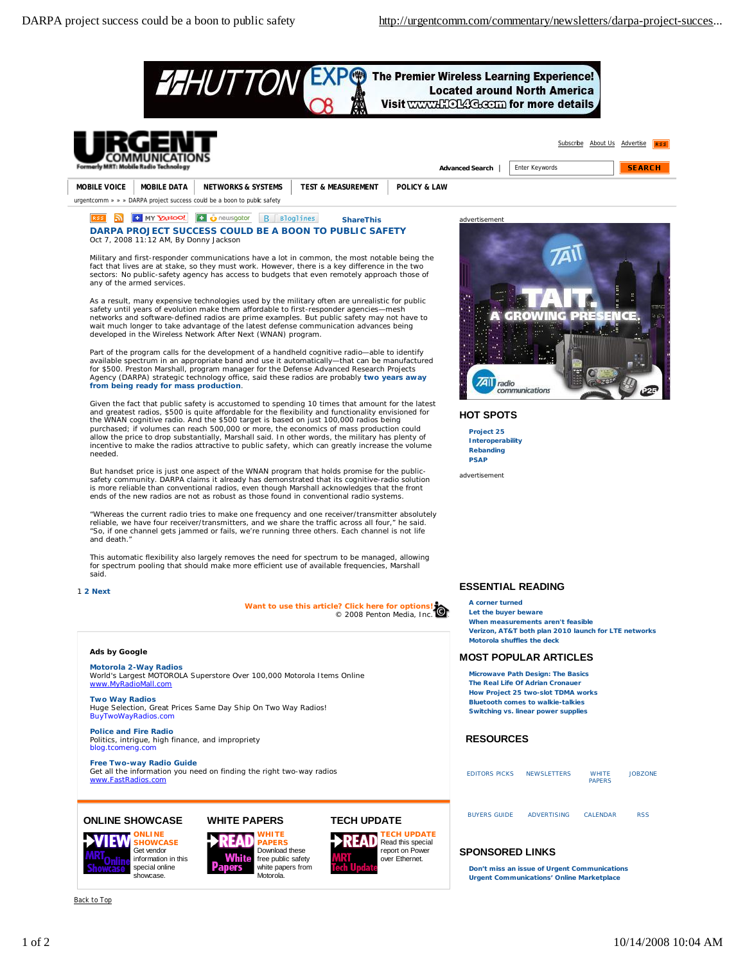